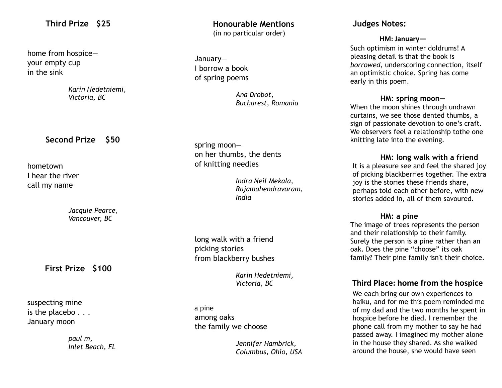## **Third Prize \$25**

 home from hospice your empty cup in the sink

> *Karin Hedetniemi, Victoria, BC*

## **Second Prize \$50**

 hometown I hear the river call my name

> *Jacquie Pearce, Vancouver, BC*

**First Prize \$100**

 suspecting mine is the placebo . . . January moon

> *paul m, Inlet Beach, FL*

 **Honourable Mentions** (in no particular order)

January— I borrow a book of spring poems

> *Ana Drobot, Bucharest, Romania*

 spring moon on her thumbs, the dents of knitting needles

> *Indra Neil Mekala, Rajamahendravaram, India*

 long walk with a friend picking stories from blackberry bushes

> *Karin Hedetniemi, Victoria, BC*

 a pine among oaks the family we choose

> *Jennifer Hambrick, Columbus, Ohio, USA*

## **Judges Notes:**

#### **HM: January—**

Such optimism in winter doldrums! A pleasing detail is that the book is *borrowed*, underscoring connection, itself an optimistic choice. Spring has come early in this poem.

#### **HM: spring moon—**

When the moon shines through undrawn curtains, we see those dented thumbs, a sign of passionate devotion to one's craft. We observers feel a relationship tothe one knitting late into the evening.

#### **HM: long walk with a friend**

It is a pleasure see and feel the shared joy of picking blackberries together. The extra joy is the stories these friends share, perhaps told each other before, with new stories added in, all of them savoured.

#### **HM: a pine**

The image of trees represents the person and their relationship to their family. Surely the person is a pine rather than an oak. Does the pine "choose" its oak family? Their pine family isn't their choice.

# **Third Place: home from the hospice**

We each bring our own experiences to haiku, and for me this poem reminded me of my dad and the two months he spent in hospice before he died. I remember the phone call from my mother to say he had passed away. I imagined my mother alone in the house they shared. As she walked around the house, she would have seen